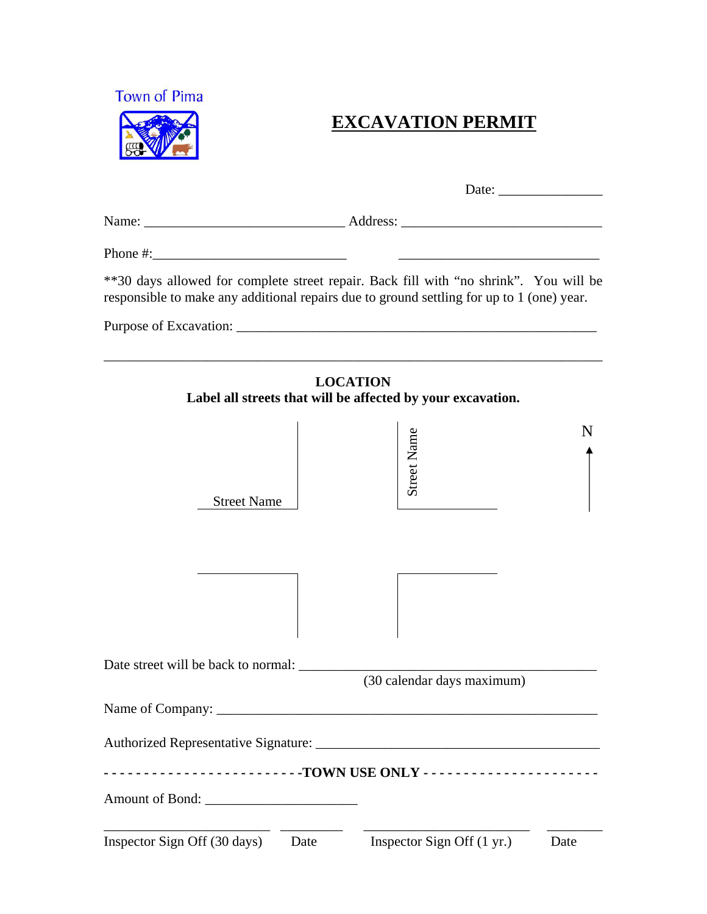

## **EXCAVATION PERMIT**

|                                      | **30 days allowed for complete street repair. Back fill with "no shrink". You will be<br>responsible to make any additional repairs due to ground settling for up to 1 (one) year. |
|--------------------------------------|------------------------------------------------------------------------------------------------------------------------------------------------------------------------------------|
|                                      |                                                                                                                                                                                    |
|                                      | <b>LOCATION</b><br>Label all streets that will be affected by your excavation.                                                                                                     |
| <b>Street Name</b>                   | <b>Street Name</b>                                                                                                                                                                 |
|                                      |                                                                                                                                                                                    |
| Date street will be back to normal:  | (30 calendar days maximum)                                                                                                                                                         |
|                                      |                                                                                                                                                                                    |
|                                      | -------------------------TOWN USE ONLY ----------------------                                                                                                                      |
|                                      |                                                                                                                                                                                    |
| Inspector Sign Off (30 days)<br>Date | Inspector Sign Off (1 yr.)<br>Date                                                                                                                                                 |